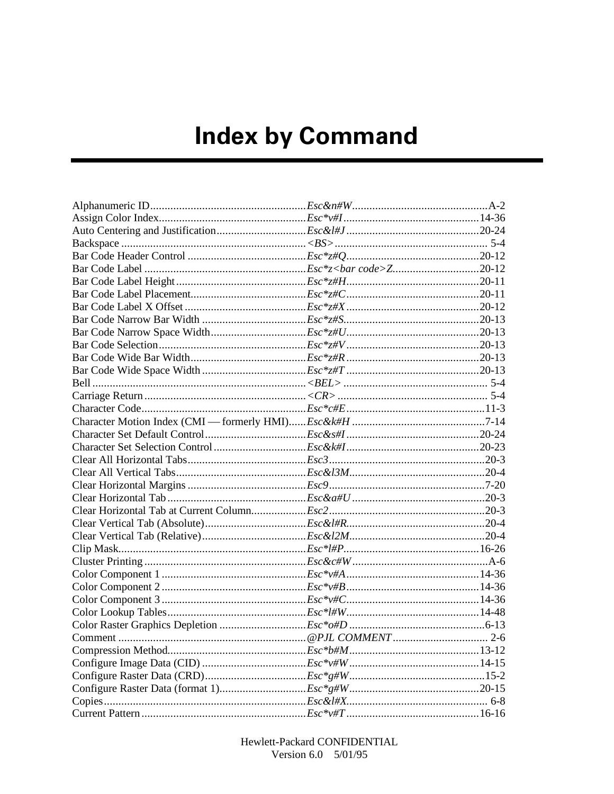## **Index by Command**

Hewlett-Packard CONFIDENTIAL Version 6.0 5/01/95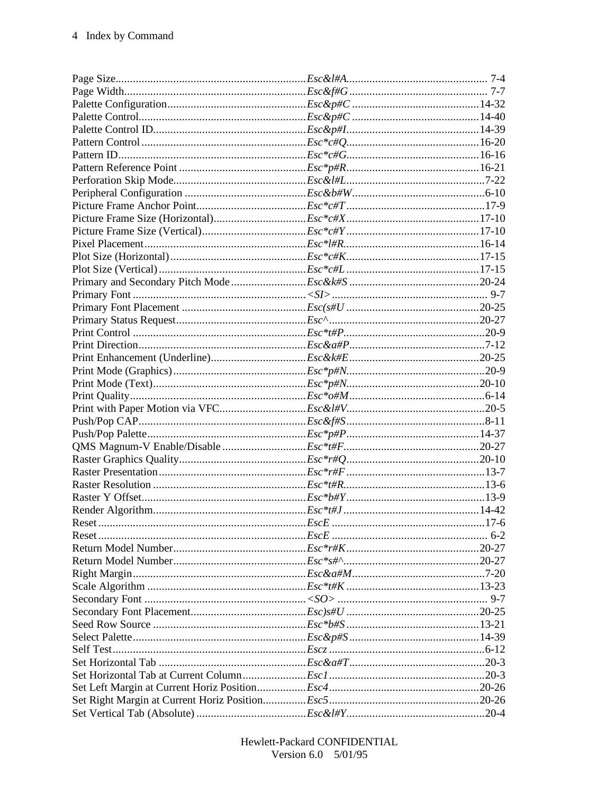Hewlett-Packard CONFIDENTIAL Version  $6.0$   $5/01/95$